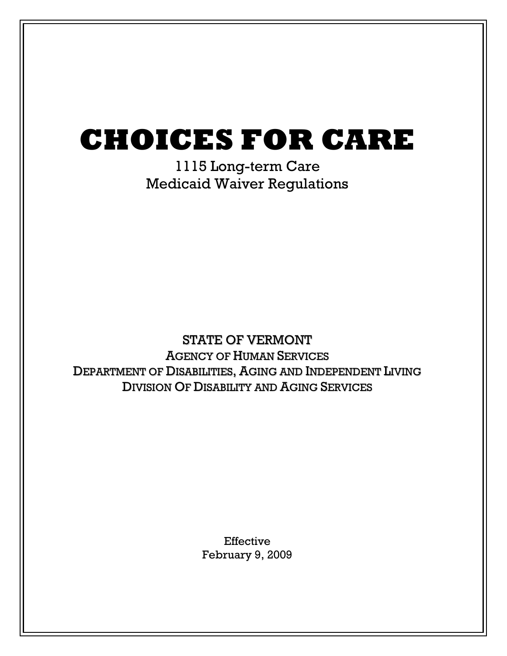# CHOICES FOR CARE

1115 Long-term Care Medicaid Waiver Regulations

# STATE OF VERMONT AGENCY OF HUMAN SERVICES DEPARTMENT OF DISABILITIES, AGING AND INDEPENDENT LIVING DIVISION OF DISABILITY AND AGING SERVICES

Effective February 9, 2009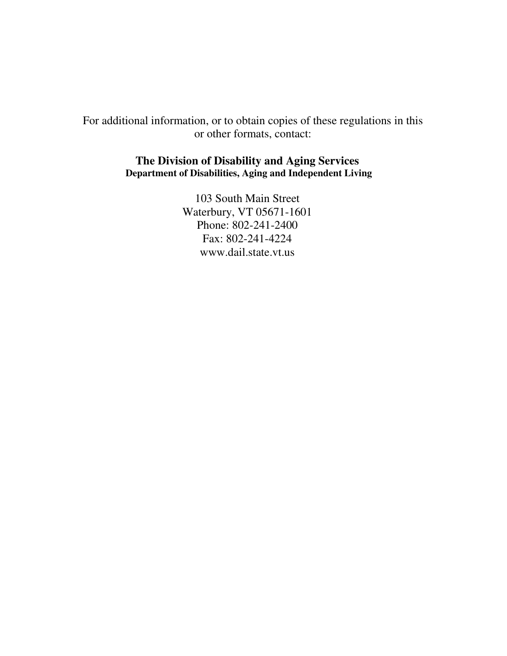For additional information, or to obtain copies of these regulations in this or other formats, contact:

#### **The Division of Disability and Aging Services Department of Disabilities, Aging and Independent Living**

103 South Main Street Waterbury, VT 05671-1601 Phone: 802-241-2400 Fax: 802-241-4224 www.dail.state.vt.us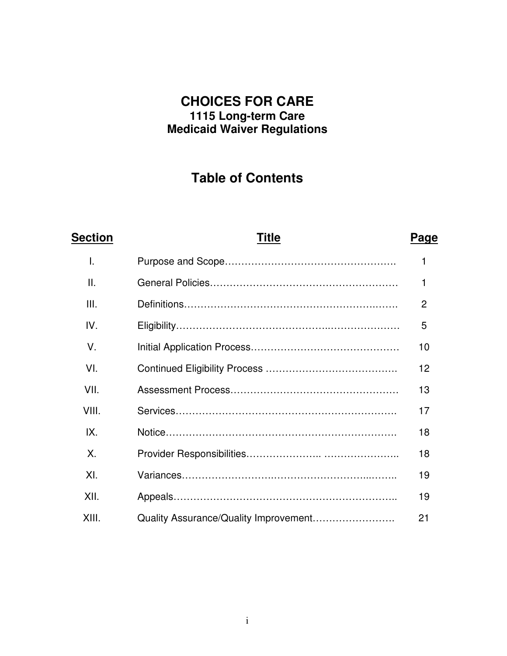### **CHOICES FOR CARE 1115 Long-term Care Medicaid Waiver Regulations**

# **Table of Contents**

# **Section Title Page** I. Purpose and Scope……………………………………………. 1 II. General Policies………………………………………………… 1 III. Definitions………………………………………………….……. 2 IV. Eligibility………………………………………..………………… 5 V. Initial Application Process……………………………………… 10 VI. Continued Eligibility Process …………………………………. 12 VII. Assessment Process…………………………………………… 13 VIII. Services…………………………………………………………. 17 IX. Notice……………………………………………………………. 18 X. Provider Responsibilities………………….. ………………….. 18 XI. Variances……………………….………………………...…….. 19 XII. Appeals………………………………………………………….. 19 XIII. Quality Assurance/Quality Improvement……………………. 21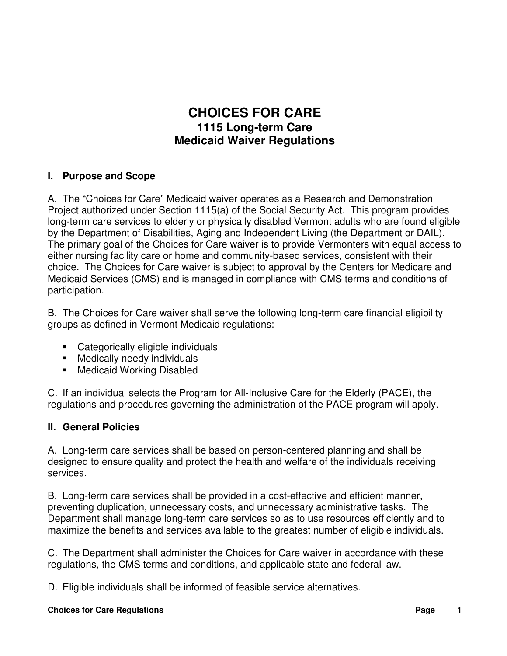## **CHOICES FOR CARE 1115 Long-term Care Medicaid Waiver Regulations**

#### **I. Purpose and Scope**

A. The "Choices for Care" Medicaid waiver operates as a Research and Demonstration Project authorized under Section 1115(a) of the Social Security Act. This program provides long-term care services to elderly or physically disabled Vermont adults who are found eligible by the Department of Disabilities, Aging and Independent Living (the Department or DAIL). The primary goal of the Choices for Care waiver is to provide Vermonters with equal access to either nursing facility care or home and community-based services, consistent with their choice. The Choices for Care waiver is subject to approval by the Centers for Medicare and Medicaid Services (CMS) and is managed in compliance with CMS terms and conditions of participation.

B. The Choices for Care waiver shall serve the following long-term care financial eligibility groups as defined in Vermont Medicaid regulations:

- Categorically eligible individuals
- **Medically needy individuals**
- **Medicaid Working Disabled**

C. If an individual selects the Program for All-Inclusive Care for the Elderly (PACE), the regulations and procedures governing the administration of the PACE program will apply.

#### **II. General Policies**

A. Long-term care services shall be based on person-centered planning and shall be designed to ensure quality and protect the health and welfare of the individuals receiving services.

B. Long-term care services shall be provided in a cost-effective and efficient manner, preventing duplication, unnecessary costs, and unnecessary administrative tasks. The Department shall manage long-term care services so as to use resources efficiently and to maximize the benefits and services available to the greatest number of eligible individuals.

C. The Department shall administer the Choices for Care waiver in accordance with these regulations, the CMS terms and conditions, and applicable state and federal law.

D. Eligible individuals shall be informed of feasible service alternatives.

#### **Choices for Care Regulations Page**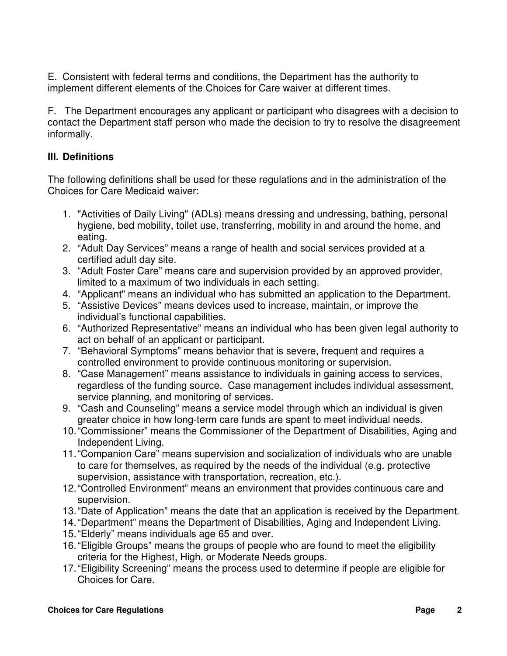E. Consistent with federal terms and conditions, the Department has the authority to implement different elements of the Choices for Care waiver at different times.

F. The Department encourages any applicant or participant who disagrees with a decision to contact the Department staff person who made the decision to try to resolve the disagreement informally.

#### **III. Definitions**

The following definitions shall be used for these regulations and in the administration of the Choices for Care Medicaid waiver:

- 1. "Activities of Daily Living" (ADLs) means dressing and undressing, bathing, personal hygiene, bed mobility, toilet use, transferring, mobility in and around the home, and eating.
- 2. "Adult Day Services" means a range of health and social services provided at a certified adult day site.
- 3. "Adult Foster Care" means care and supervision provided by an approved provider, limited to a maximum of two individuals in each setting.
- 4. "Applicant" means an individual who has submitted an application to the Department.
- 5. "Assistive Devices" means devices used to increase, maintain, or improve the individual's functional capabilities.
- 6. "Authorized Representative" means an individual who has been given legal authority to act on behalf of an applicant or participant.
- 7. "Behavioral Symptoms" means behavior that is severe, frequent and requires a controlled environment to provide continuous monitoring or supervision.
- 8. "Case Management" means assistance to individuals in gaining access to services, regardless of the funding source. Case management includes individual assessment, service planning, and monitoring of services.
- 9. "Cash and Counseling" means a service model through which an individual is given greater choice in how long-term care funds are spent to meet individual needs.
- 10. "Commissioner" means the Commissioner of the Department of Disabilities, Aging and Independent Living.
- 11. "Companion Care" means supervision and socialization of individuals who are unable to care for themselves, as required by the needs of the individual (e.g. protective supervision, assistance with transportation, recreation, etc.).
- 12. "Controlled Environment" means an environment that provides continuous care and supervision.
- 13. "Date of Application" means the date that an application is received by the Department.
- 14. "Department" means the Department of Disabilities, Aging and Independent Living.
- 15. "Elderly" means individuals age 65 and over.
- 16. "Eligible Groups" means the groups of people who are found to meet the eligibility criteria for the Highest, High, or Moderate Needs groups.
- 17. "Eligibility Screening" means the process used to determine if people are eligible for Choices for Care.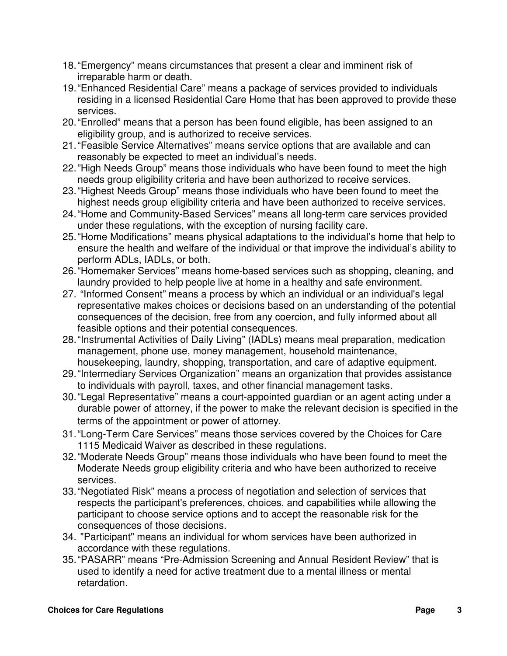- 18. "Emergency" means circumstances that present a clear and imminent risk of irreparable harm or death.
- 19. "Enhanced Residential Care" means a package of services provided to individuals residing in a licensed Residential Care Home that has been approved to provide these services.
- 20. "Enrolled" means that a person has been found eligible, has been assigned to an eligibility group, and is authorized to receive services.
- 21. "Feasible Service Alternatives" means service options that are available and can reasonably be expected to meet an individual's needs.
- 22. "High Needs Group" means those individuals who have been found to meet the high needs group eligibility criteria and have been authorized to receive services.
- 23. "Highest Needs Group" means those individuals who have been found to meet the highest needs group eligibility criteria and have been authorized to receive services.
- 24. "Home and Community-Based Services" means all long-term care services provided under these regulations, with the exception of nursing facility care.
- 25. "Home Modifications" means physical adaptations to the individual's home that help to ensure the health and welfare of the individual or that improve the individual's ability to perform ADLs, IADLs, or both.
- 26. "Homemaker Services" means home-based services such as shopping, cleaning, and laundry provided to help people live at home in a healthy and safe environment.
- 27. "Informed Consent" means a process by which an individual or an individual's legal representative makes choices or decisions based on an understanding of the potential consequences of the decision, free from any coercion, and fully informed about all feasible options and their potential consequences.
- 28. "Instrumental Activities of Daily Living" (IADLs) means meal preparation, medication management, phone use, money management, household maintenance, housekeeping, laundry, shopping, transportation, and care of adaptive equipment.
- 29. "Intermediary Services Organization" means an organization that provides assistance to individuals with payroll, taxes, and other financial management tasks.
- 30. "Legal Representative" means a court-appointed guardian or an agent acting under a durable power of attorney, if the power to make the relevant decision is specified in the terms of the appointment or power of attorney.
- 31. "Long-Term Care Services" means those services covered by the Choices for Care 1115 Medicaid Waiver as described in these regulations.
- 32. "Moderate Needs Group" means those individuals who have been found to meet the Moderate Needs group eligibility criteria and who have been authorized to receive services.
- 33. "Negotiated Risk" means a process of negotiation and selection of services that respects the participant's preferences, choices, and capabilities while allowing the participant to choose service options and to accept the reasonable risk for the consequences of those decisions.
- 34. "Participant" means an individual for whom services have been authorized in accordance with these regulations.
- 35. "PASARR" means "Pre-Admission Screening and Annual Resident Review" that is used to identify a need for active treatment due to a mental illness or mental retardation.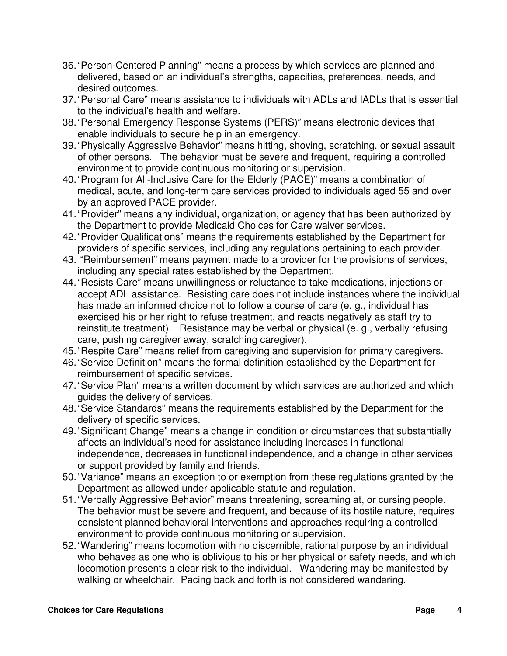- 36. "Person-Centered Planning" means a process by which services are planned and delivered, based on an individual's strengths, capacities, preferences, needs, and desired outcomes.
- 37. "Personal Care" means assistance to individuals with ADLs and IADLs that is essential to the individual's health and welfare.
- 38. "Personal Emergency Response Systems (PERS)" means electronic devices that enable individuals to secure help in an emergency.
- 39. "Physically Aggressive Behavior" means hitting, shoving, scratching, or sexual assault of other persons. The behavior must be severe and frequent, requiring a controlled environment to provide continuous monitoring or supervision.
- 40. "Program for All-Inclusive Care for the Elderly (PACE)" means a combination of medical, acute, and long-term care services provided to individuals aged 55 and over by an approved PACE provider.
- 41. "Provider" means any individual, organization, or agency that has been authorized by the Department to provide Medicaid Choices for Care waiver services.
- 42. "Provider Qualifications" means the requirements established by the Department for providers of specific services, including any regulations pertaining to each provider.
- 43. "Reimbursement" means payment made to a provider for the provisions of services, including any special rates established by the Department.
- 44. "Resists Care" means unwillingness or reluctance to take medications, injections or accept ADL assistance. Resisting care does not include instances where the individual has made an informed choice not to follow a course of care (e. g., individual has exercised his or her right to refuse treatment, and reacts negatively as staff try to reinstitute treatment). Resistance may be verbal or physical (e. g., verbally refusing care, pushing caregiver away, scratching caregiver).
- 45. "Respite Care" means relief from caregiving and supervision for primary caregivers.
- 46. "Service Definition" means the formal definition established by the Department for reimbursement of specific services.
- 47. "Service Plan" means a written document by which services are authorized and which guides the delivery of services.
- 48. "Service Standards" means the requirements established by the Department for the delivery of specific services.
- 49. "Significant Change" means a change in condition or circumstances that substantially affects an individual's need for assistance including increases in functional independence, decreases in functional independence, and a change in other services or support provided by family and friends.
- 50. "Variance" means an exception to or exemption from these regulations granted by the Department as allowed under applicable statute and regulation.
- 51. "Verbally Aggressive Behavior" means threatening, screaming at, or cursing people. The behavior must be severe and frequent, and because of its hostile nature, requires consistent planned behavioral interventions and approaches requiring a controlled environment to provide continuous monitoring or supervision.
- 52. "Wandering" means locomotion with no discernible, rational purpose by an individual who behaves as one who is oblivious to his or her physical or safety needs, and which locomotion presents a clear risk to the individual. Wandering may be manifested by walking or wheelchair. Pacing back and forth is not considered wandering.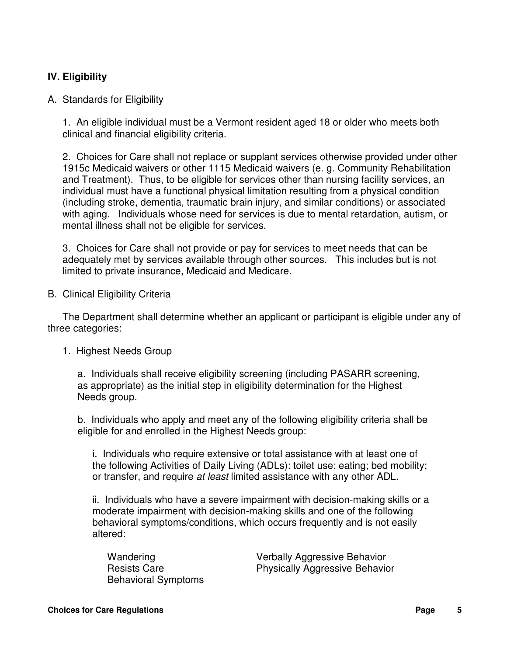#### **IV. Eligibility**

#### A. Standards for Eligibility

1. An eligible individual must be a Vermont resident aged 18 or older who meets both clinical and financial eligibility criteria.

2. Choices for Care shall not replace or supplant services otherwise provided under other 1915c Medicaid waivers or other 1115 Medicaid waivers (e. g. Community Rehabilitation and Treatment). Thus, to be eligible for services other than nursing facility services, an individual must have a functional physical limitation resulting from a physical condition (including stroke, dementia, traumatic brain injury, and similar conditions) or associated with aging. Individuals whose need for services is due to mental retardation, autism, or mental illness shall not be eligible for services.

3. Choices for Care shall not provide or pay for services to meet needs that can be adequately met by services available through other sources. This includes but is not limited to private insurance, Medicaid and Medicare.

B. Clinical Eligibility Criteria

The Department shall determine whether an applicant or participant is eligible under any of three categories:

#### 1. Highest Needs Group

a. Individuals shall receive eligibility screening (including PASARR screening, as appropriate) as the initial step in eligibility determination for the Highest Needs group.

b. Individuals who apply and meet any of the following eligibility criteria shall be eligible for and enrolled in the Highest Needs group:

i. Individuals who require extensive or total assistance with at least one of the following Activities of Daily Living (ADLs): toilet use; eating; bed mobility; or transfer, and require at least limited assistance with any other ADL.

ii. Individuals who have a severe impairment with decision-making skills or a moderate impairment with decision-making skills and one of the following behavioral symptoms/conditions, which occurs frequently and is not easily altered:

| Wandering                  |
|----------------------------|
| <b>Resists Care</b>        |
| <b>Behavioral Symptoms</b> |

Verbally Aggressive Behavior Physically Aggressive Behavior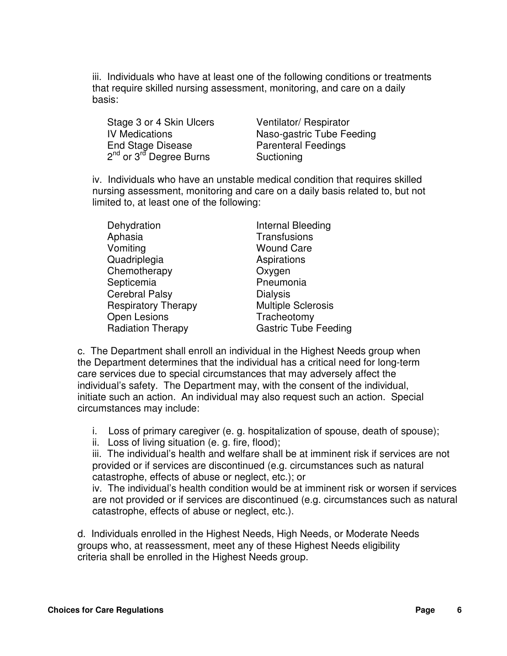iii. Individuals who have at least one of the following conditions or treatments that require skilled nursing assessment, monitoring, and care on a daily basis:

Stage 3 or 4 Skin Ulcers Ventilator/ Respirator End Stage Disease Parenteral Feedings 2<sup>nd</sup> or 3<sup>rd</sup> Degree Burns **Suctioning** 

IV Medications Naso-gastric Tube Feeding

iv. Individuals who have an unstable medical condition that requires skilled nursing assessment, monitoring and care on a daily basis related to, but not limited to, at least one of the following:

| Internal Bleeding           |
|-----------------------------|
| Transfusions                |
| <b>Wound Care</b>           |
| Aspirations                 |
| Oxygen                      |
| Pneumonia                   |
| <b>Dialysis</b>             |
| <b>Multiple Sclerosis</b>   |
| Tracheotomy                 |
| <b>Gastric Tube Feeding</b> |
|                             |

c. The Department shall enroll an individual in the Highest Needs group when the Department determines that the individual has a critical need for long-term care services due to special circumstances that may adversely affect the individual's safety. The Department may, with the consent of the individual, initiate such an action. An individual may also request such an action. Special circumstances may include:

i. Loss of primary caregiver (e. g. hospitalization of spouse, death of spouse);

ii. Loss of living situation (e. g. fire, flood);

iii. The individual's health and welfare shall be at imminent risk if services are not provided or if services are discontinued (e.g. circumstances such as natural catastrophe, effects of abuse or neglect, etc.); or

iv. The individual's health condition would be at imminent risk or worsen if services are not provided or if services are discontinued (e.g. circumstances such as natural catastrophe, effects of abuse or neglect, etc.).

d. Individuals enrolled in the Highest Needs, High Needs, or Moderate Needs groups who, at reassessment, meet any of these Highest Needs eligibility criteria shall be enrolled in the Highest Needs group.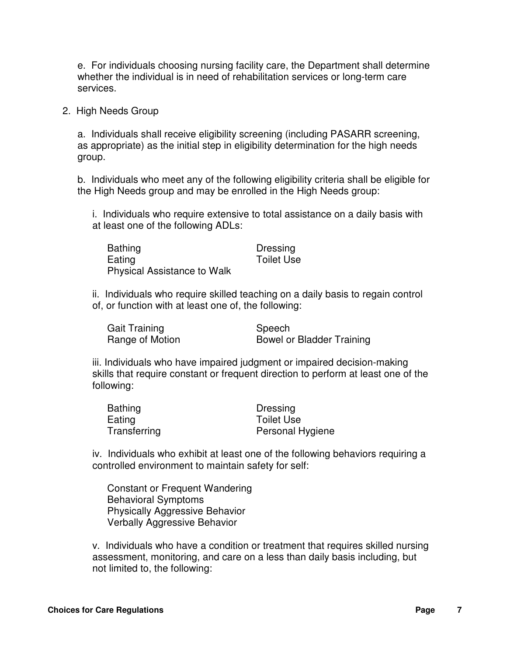e. For individuals choosing nursing facility care, the Department shall determine whether the individual is in need of rehabilitation services or long-term care services.

2. High Needs Group

a. Individuals shall receive eligibility screening (including PASARR screening, as appropriate) as the initial step in eligibility determination for the high needs group.

b. Individuals who meet any of the following eligibility criteria shall be eligible for the High Needs group and may be enrolled in the High Needs group:

i. Individuals who require extensive to total assistance on a daily basis with at least one of the following ADLs:

| <b>Bathing</b>                     | Dressing          |
|------------------------------------|-------------------|
| Eating                             | <b>Toilet Use</b> |
| <b>Physical Assistance to Walk</b> |                   |

ii. Individuals who require skilled teaching on a daily basis to regain control of, or function with at least one of, the following:

| Gait Training   | Speech                    |
|-----------------|---------------------------|
| Range of Motion | Bowel or Bladder Training |

iii. Individuals who have impaired judgment or impaired decision-making skills that require constant or frequent direction to perform at least one of the following:

| <b>Bathing</b> | Dressing          |
|----------------|-------------------|
| Eating         | <b>Toilet Use</b> |
| Transferring   | Personal Hygiene  |

iv. Individuals who exhibit at least one of the following behaviors requiring a controlled environment to maintain safety for self:

Constant or Frequent Wandering Behavioral Symptoms Physically Aggressive Behavior Verbally Aggressive Behavior

v. Individuals who have a condition or treatment that requires skilled nursing assessment, monitoring, and care on a less than daily basis including, but not limited to, the following: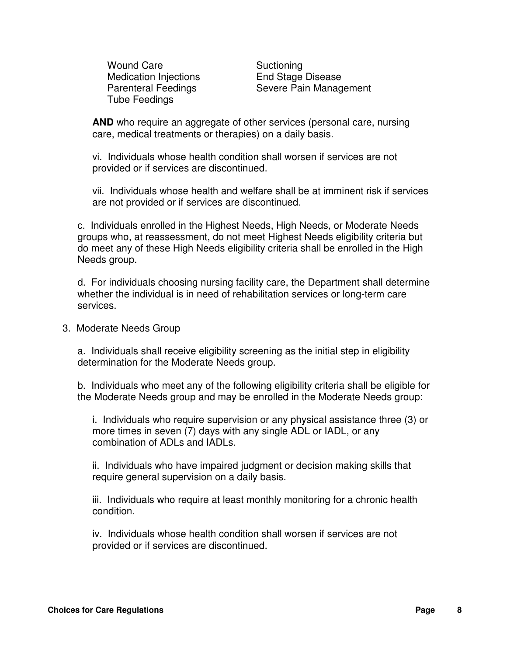Wound Care **Suctioning** Medication Injections End Stage Disease Tube Feedings

Parenteral Feedings Severe Pain Management

**AND** who require an aggregate of other services (personal care, nursing care, medical treatments or therapies) on a daily basis.

vi. Individuals whose health condition shall worsen if services are not provided or if services are discontinued.

vii. Individuals whose health and welfare shall be at imminent risk if services are not provided or if services are discontinued.

c. Individuals enrolled in the Highest Needs, High Needs, or Moderate Needs groups who, at reassessment, do not meet Highest Needs eligibility criteria but do meet any of these High Needs eligibility criteria shall be enrolled in the High Needs group.

d. For individuals choosing nursing facility care, the Department shall determine whether the individual is in need of rehabilitation services or long-term care services.

3. Moderate Needs Group

a. Individuals shall receive eligibility screening as the initial step in eligibility determination for the Moderate Needs group.

b. Individuals who meet any of the following eligibility criteria shall be eligible for the Moderate Needs group and may be enrolled in the Moderate Needs group:

i. Individuals who require supervision or any physical assistance three (3) or more times in seven (7) days with any single ADL or IADL, or any combination of ADLs and IADLs.

ii. Individuals who have impaired judgment or decision making skills that require general supervision on a daily basis.

iii. Individuals who require at least monthly monitoring for a chronic health condition.

iv. Individuals whose health condition shall worsen if services are not provided or if services are discontinued.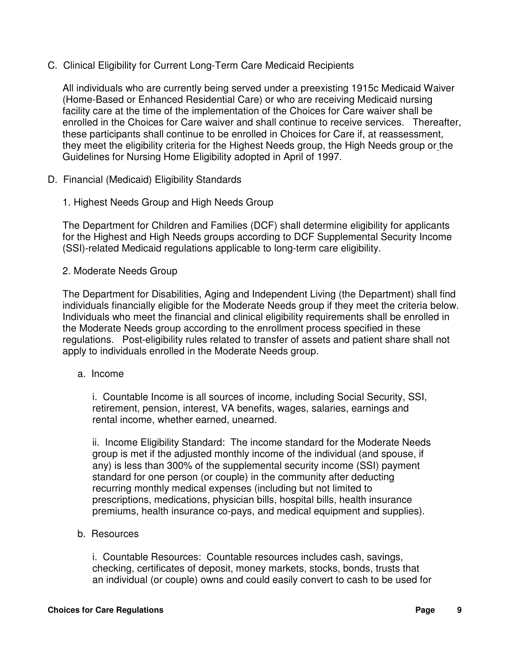C. Clinical Eligibility for Current Long-Term Care Medicaid Recipients

All individuals who are currently being served under a preexisting 1915c Medicaid Waiver (Home-Based or Enhanced Residential Care) or who are receiving Medicaid nursing facility care at the time of the implementation of the Choices for Care waiver shall be enrolled in the Choices for Care waiver and shall continue to receive services. Thereafter, these participants shall continue to be enrolled in Choices for Care if, at reassessment, they meet the eligibility criteria for the Highest Needs group, the High Needs group or the Guidelines for Nursing Home Eligibility adopted in April of 1997.

- D. Financial (Medicaid) Eligibility Standards
	- 1. Highest Needs Group and High Needs Group

The Department for Children and Families (DCF) shall determine eligibility for applicants for the Highest and High Needs groups according to DCF Supplemental Security Income (SSI)-related Medicaid regulations applicable to long-term care eligibility.

2. Moderate Needs Group

The Department for Disabilities, Aging and Independent Living (the Department) shall find individuals financially eligible for the Moderate Needs group if they meet the criteria below. Individuals who meet the financial and clinical eligibility requirements shall be enrolled in the Moderate Needs group according to the enrollment process specified in these regulations. Post-eligibility rules related to transfer of assets and patient share shall not apply to individuals enrolled in the Moderate Needs group.

a. Income

i. Countable Income is all sources of income, including Social Security, SSI, retirement, pension, interest, VA benefits, wages, salaries, earnings and rental income, whether earned, unearned.

ii. Income Eligibility Standard: The income standard for the Moderate Needs group is met if the adjusted monthly income of the individual (and spouse, if any) is less than 300% of the supplemental security income (SSI) payment standard for one person (or couple) in the community after deducting recurring monthly medical expenses (including but not limited to prescriptions, medications, physician bills, hospital bills, health insurance premiums, health insurance co-pays, and medical equipment and supplies).

b. Resources

i. Countable Resources: Countable resources includes cash, savings, checking, certificates of deposit, money markets, stocks, bonds, trusts that an individual (or couple) owns and could easily convert to cash to be used for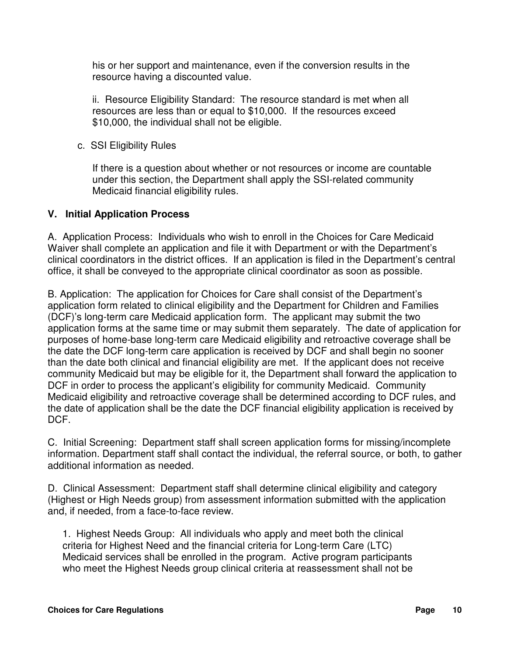his or her support and maintenance, even if the conversion results in the resource having a discounted value.

ii. Resource Eligibility Standard: The resource standard is met when all resources are less than or equal to \$10,000. If the resources exceed \$10,000, the individual shall not be eligible.

c. SSI Eligibility Rules

If there is a question about whether or not resources or income are countable under this section, the Department shall apply the SSI-related community Medicaid financial eligibility rules.

#### **V. Initial Application Process**

A. Application Process: Individuals who wish to enroll in the Choices for Care Medicaid Waiver shall complete an application and file it with Department or with the Department's clinical coordinators in the district offices. If an application is filed in the Department's central office, it shall be conveyed to the appropriate clinical coordinator as soon as possible.

B. Application: The application for Choices for Care shall consist of the Department's application form related to clinical eligibility and the Department for Children and Families (DCF)'s long-term care Medicaid application form. The applicant may submit the two application forms at the same time or may submit them separately. The date of application for purposes of home-base long-term care Medicaid eligibility and retroactive coverage shall be the date the DCF long-term care application is received by DCF and shall begin no sooner than the date both clinical and financial eligibility are met. If the applicant does not receive community Medicaid but may be eligible for it, the Department shall forward the application to DCF in order to process the applicant's eligibility for community Medicaid. Community Medicaid eligibility and retroactive coverage shall be determined according to DCF rules, and the date of application shall be the date the DCF financial eligibility application is received by DCF.

C. Initial Screening: Department staff shall screen application forms for missing/incomplete information. Department staff shall contact the individual, the referral source, or both, to gather additional information as needed.

D. Clinical Assessment: Department staff shall determine clinical eligibility and category (Highest or High Needs group) from assessment information submitted with the application and, if needed, from a face-to-face review.

1. Highest Needs Group: All individuals who apply and meet both the clinical criteria for Highest Need and the financial criteria for Long-term Care (LTC) Medicaid services shall be enrolled in the program. Active program participants who meet the Highest Needs group clinical criteria at reassessment shall not be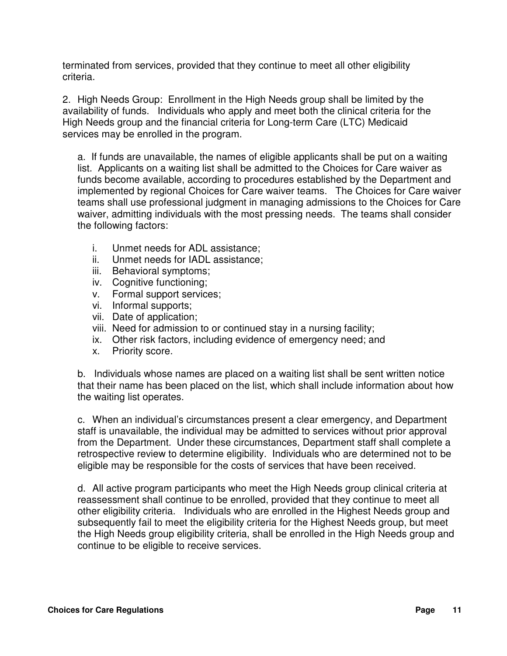terminated from services, provided that they continue to meet all other eligibility criteria.

2. High Needs Group: Enrollment in the High Needs group shall be limited by the availability of funds. Individuals who apply and meet both the clinical criteria for the High Needs group and the financial criteria for Long-term Care (LTC) Medicaid services may be enrolled in the program.

a. If funds are unavailable, the names of eligible applicants shall be put on a waiting list. Applicants on a waiting list shall be admitted to the Choices for Care waiver as funds become available, according to procedures established by the Department and implemented by regional Choices for Care waiver teams. The Choices for Care waiver teams shall use professional judgment in managing admissions to the Choices for Care waiver, admitting individuals with the most pressing needs. The teams shall consider the following factors:

- i. Unmet needs for ADL assistance;
- ii. Unmet needs for IADL assistance;
- iii. Behavioral symptoms;
- iv. Cognitive functioning;
- v. Formal support services;
- vi. Informal supports;
- vii. Date of application;
- viii. Need for admission to or continued stay in a nursing facility;
- ix. Other risk factors, including evidence of emergency need; and
- x. Priority score.

b. Individuals whose names are placed on a waiting list shall be sent written notice that their name has been placed on the list, which shall include information about how the waiting list operates.

c. When an individual's circumstances present a clear emergency, and Department staff is unavailable, the individual may be admitted to services without prior approval from the Department. Under these circumstances, Department staff shall complete a retrospective review to determine eligibility. Individuals who are determined not to be eligible may be responsible for the costs of services that have been received.

d. All active program participants who meet the High Needs group clinical criteria at reassessment shall continue to be enrolled, provided that they continue to meet all other eligibility criteria. Individuals who are enrolled in the Highest Needs group and subsequently fail to meet the eligibility criteria for the Highest Needs group, but meet the High Needs group eligibility criteria, shall be enrolled in the High Needs group and continue to be eligible to receive services.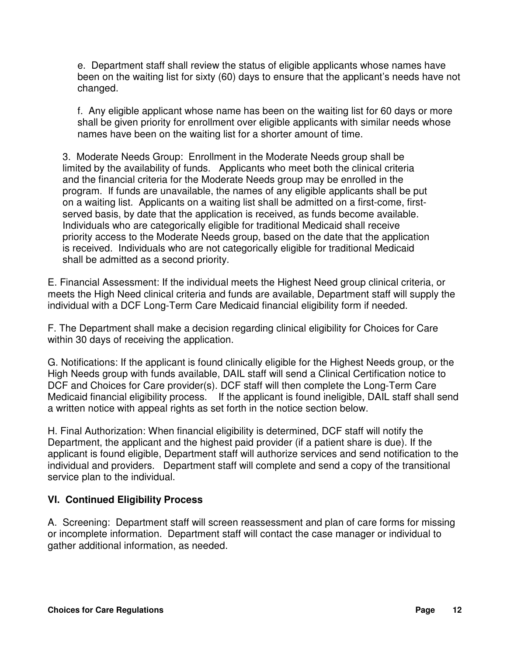e. Department staff shall review the status of eligible applicants whose names have been on the waiting list for sixty (60) days to ensure that the applicant's needs have not changed.

f. Any eligible applicant whose name has been on the waiting list for 60 days or more shall be given priority for enrollment over eligible applicants with similar needs whose names have been on the waiting list for a shorter amount of time.

3. Moderate Needs Group: Enrollment in the Moderate Needs group shall be limited by the availability of funds. Applicants who meet both the clinical criteria and the financial criteria for the Moderate Needs group may be enrolled in the program. If funds are unavailable, the names of any eligible applicants shall be put on a waiting list. Applicants on a waiting list shall be admitted on a first-come, firstserved basis, by date that the application is received, as funds become available. Individuals who are categorically eligible for traditional Medicaid shall receive priority access to the Moderate Needs group, based on the date that the application is received. Individuals who are not categorically eligible for traditional Medicaid shall be admitted as a second priority.

E. Financial Assessment: If the individual meets the Highest Need group clinical criteria, or meets the High Need clinical criteria and funds are available, Department staff will supply the individual with a DCF Long-Term Care Medicaid financial eligibility form if needed.

F. The Department shall make a decision regarding clinical eligibility for Choices for Care within 30 days of receiving the application.

G. Notifications: If the applicant is found clinically eligible for the Highest Needs group, or the High Needs group with funds available, DAIL staff will send a Clinical Certification notice to DCF and Choices for Care provider(s). DCF staff will then complete the Long-Term Care Medicaid financial eligibility process. If the applicant is found ineligible, DAIL staff shall send a written notice with appeal rights as set forth in the notice section below.

H. Final Authorization: When financial eligibility is determined, DCF staff will notify the Department, the applicant and the highest paid provider (if a patient share is due). If the applicant is found eligible, Department staff will authorize services and send notification to the individual and providers. Department staff will complete and send a copy of the transitional service plan to the individual.

#### **VI. Continued Eligibility Process**

A. Screening: Department staff will screen reassessment and plan of care forms for missing or incomplete information. Department staff will contact the case manager or individual to gather additional information, as needed.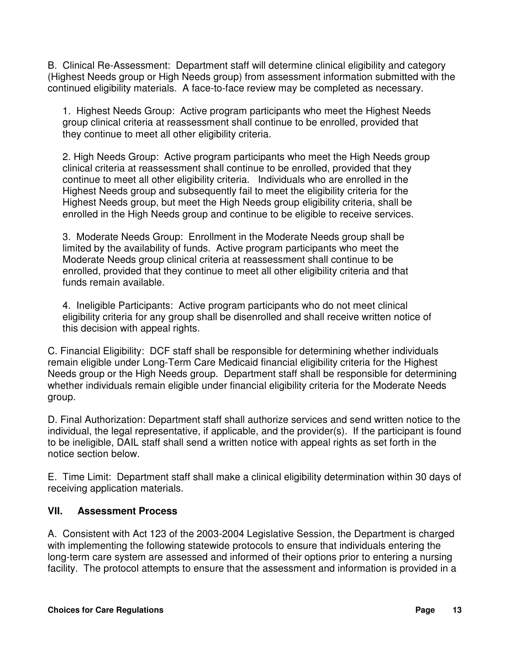B. Clinical Re-Assessment: Department staff will determine clinical eligibility and category (Highest Needs group or High Needs group) from assessment information submitted with the continued eligibility materials. A face-to-face review may be completed as necessary.

1. Highest Needs Group: Active program participants who meet the Highest Needs group clinical criteria at reassessment shall continue to be enrolled, provided that they continue to meet all other eligibility criteria.

2. High Needs Group: Active program participants who meet the High Needs group clinical criteria at reassessment shall continue to be enrolled, provided that they continue to meet all other eligibility criteria. Individuals who are enrolled in the Highest Needs group and subsequently fail to meet the eligibility criteria for the Highest Needs group, but meet the High Needs group eligibility criteria, shall be enrolled in the High Needs group and continue to be eligible to receive services.

3. Moderate Needs Group: Enrollment in the Moderate Needs group shall be limited by the availability of funds. Active program participants who meet the Moderate Needs group clinical criteria at reassessment shall continue to be enrolled, provided that they continue to meet all other eligibility criteria and that funds remain available.

4. Ineligible Participants: Active program participants who do not meet clinical eligibility criteria for any group shall be disenrolled and shall receive written notice of this decision with appeal rights.

C. Financial Eligibility: DCF staff shall be responsible for determining whether individuals remain eligible under Long-Term Care Medicaid financial eligibility criteria for the Highest Needs group or the High Needs group. Department staff shall be responsible for determining whether individuals remain eligible under financial eligibility criteria for the Moderate Needs group.

D. Final Authorization: Department staff shall authorize services and send written notice to the individual, the legal representative, if applicable, and the provider(s). If the participant is found to be ineligible, DAIL staff shall send a written notice with appeal rights as set forth in the notice section below.

E. Time Limit: Department staff shall make a clinical eligibility determination within 30 days of receiving application materials.

#### **VII. Assessment Process**

A. Consistent with Act 123 of the 2003-2004 Legislative Session, the Department is charged with implementing the following statewide protocols to ensure that individuals entering the long-term care system are assessed and informed of their options prior to entering a nursing facility. The protocol attempts to ensure that the assessment and information is provided in a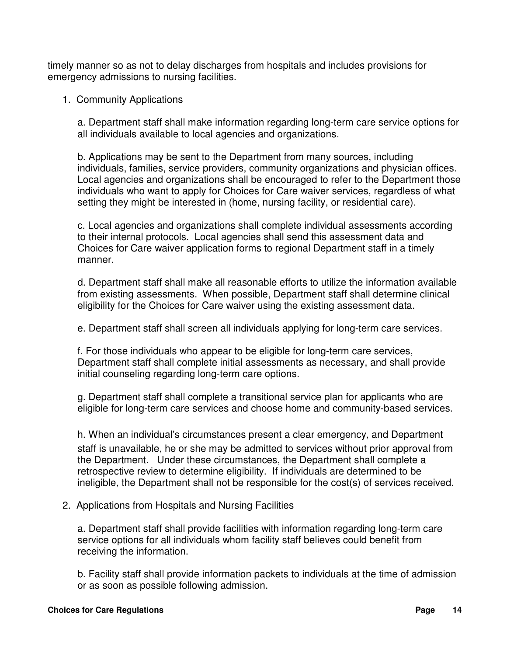timely manner so as not to delay discharges from hospitals and includes provisions for emergency admissions to nursing facilities.

1. Community Applications

a. Department staff shall make information regarding long-term care service options for all individuals available to local agencies and organizations.

b. Applications may be sent to the Department from many sources, including individuals, families, service providers, community organizations and physician offices. Local agencies and organizations shall be encouraged to refer to the Department those individuals who want to apply for Choices for Care waiver services, regardless of what setting they might be interested in (home, nursing facility, or residential care).

c. Local agencies and organizations shall complete individual assessments according to their internal protocols. Local agencies shall send this assessment data and Choices for Care waiver application forms to regional Department staff in a timely manner.

d. Department staff shall make all reasonable efforts to utilize the information available from existing assessments. When possible, Department staff shall determine clinical eligibility for the Choices for Care waiver using the existing assessment data.

e. Department staff shall screen all individuals applying for long-term care services.

f. For those individuals who appear to be eligible for long-term care services, Department staff shall complete initial assessments as necessary, and shall provide initial counseling regarding long-term care options.

g. Department staff shall complete a transitional service plan for applicants who are eligible for long-term care services and choose home and community-based services.

h. When an individual's circumstances present a clear emergency, and Department staff is unavailable, he or she may be admitted to services without prior approval from the Department. Under these circumstances, the Department shall complete a retrospective review to determine eligibility. If individuals are determined to be ineligible, the Department shall not be responsible for the cost(s) of services received.

2. Applications from Hospitals and Nursing Facilities

a. Department staff shall provide facilities with information regarding long-term care service options for all individuals whom facility staff believes could benefit from receiving the information.

b. Facility staff shall provide information packets to individuals at the time of admission or as soon as possible following admission.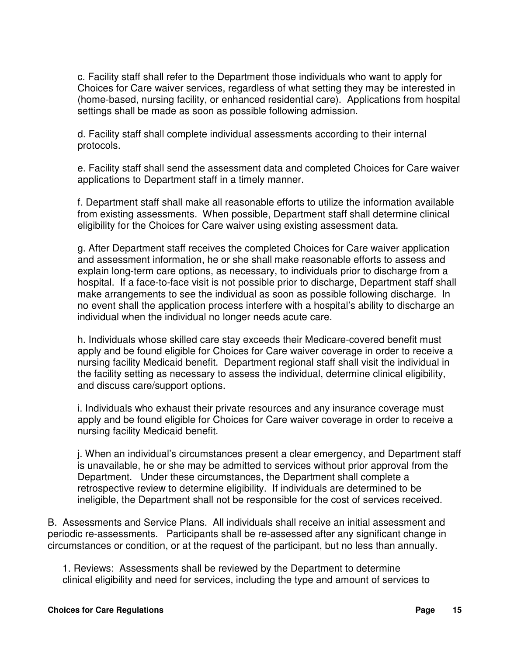c. Facility staff shall refer to the Department those individuals who want to apply for Choices for Care waiver services, regardless of what setting they may be interested in (home-based, nursing facility, or enhanced residential care). Applications from hospital settings shall be made as soon as possible following admission.

d. Facility staff shall complete individual assessments according to their internal protocols.

e. Facility staff shall send the assessment data and completed Choices for Care waiver applications to Department staff in a timely manner.

f. Department staff shall make all reasonable efforts to utilize the information available from existing assessments. When possible, Department staff shall determine clinical eligibility for the Choices for Care waiver using existing assessment data.

g. After Department staff receives the completed Choices for Care waiver application and assessment information, he or she shall make reasonable efforts to assess and explain long-term care options, as necessary, to individuals prior to discharge from a hospital. If a face-to-face visit is not possible prior to discharge, Department staff shall make arrangements to see the individual as soon as possible following discharge. In no event shall the application process interfere with a hospital's ability to discharge an individual when the individual no longer needs acute care.

h. Individuals whose skilled care stay exceeds their Medicare-covered benefit must apply and be found eligible for Choices for Care waiver coverage in order to receive a nursing facility Medicaid benefit. Department regional staff shall visit the individual in the facility setting as necessary to assess the individual, determine clinical eligibility, and discuss care/support options.

i. Individuals who exhaust their private resources and any insurance coverage must apply and be found eligible for Choices for Care waiver coverage in order to receive a nursing facility Medicaid benefit.

j. When an individual's circumstances present a clear emergency, and Department staff is unavailable, he or she may be admitted to services without prior approval from the Department. Under these circumstances, the Department shall complete a retrospective review to determine eligibility. If individuals are determined to be ineligible, the Department shall not be responsible for the cost of services received.

B. Assessments and Service Plans. All individuals shall receive an initial assessment and periodic re-assessments. Participants shall be re-assessed after any significant change in circumstances or condition, or at the request of the participant, but no less than annually.

1. Reviews: Assessments shall be reviewed by the Department to determine clinical eligibility and need for services, including the type and amount of services to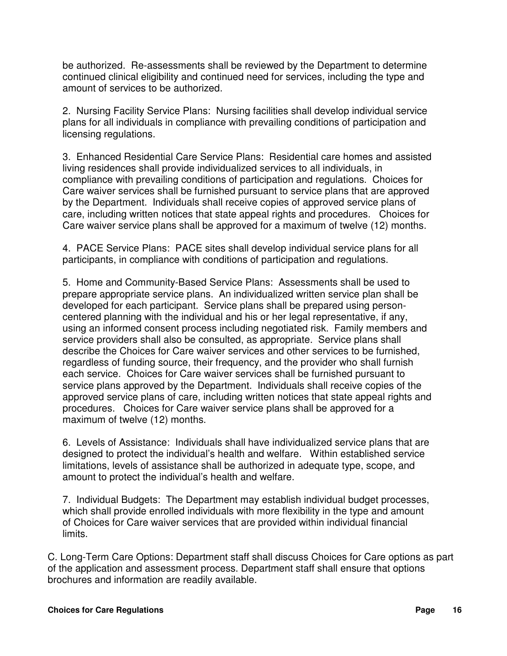be authorized. Re-assessments shall be reviewed by the Department to determine continued clinical eligibility and continued need for services, including the type and amount of services to be authorized.

2. Nursing Facility Service Plans: Nursing facilities shall develop individual service plans for all individuals in compliance with prevailing conditions of participation and licensing regulations.

3. Enhanced Residential Care Service Plans: Residential care homes and assisted living residences shall provide individualized services to all individuals, in compliance with prevailing conditions of participation and regulations. Choices for Care waiver services shall be furnished pursuant to service plans that are approved by the Department. Individuals shall receive copies of approved service plans of care, including written notices that state appeal rights and procedures. Choices for Care waiver service plans shall be approved for a maximum of twelve (12) months.

4. PACE Service Plans: PACE sites shall develop individual service plans for all participants, in compliance with conditions of participation and regulations.

5. Home and Community-Based Service Plans: Assessments shall be used to prepare appropriate service plans. An individualized written service plan shall be developed for each participant. Service plans shall be prepared using personcentered planning with the individual and his or her legal representative, if any, using an informed consent process including negotiated risk. Family members and service providers shall also be consulted, as appropriate. Service plans shall describe the Choices for Care waiver services and other services to be furnished, regardless of funding source, their frequency, and the provider who shall furnish each service. Choices for Care waiver services shall be furnished pursuant to service plans approved by the Department. Individuals shall receive copies of the approved service plans of care, including written notices that state appeal rights and procedures. Choices for Care waiver service plans shall be approved for a maximum of twelve (12) months.

6. Levels of Assistance: Individuals shall have individualized service plans that are designed to protect the individual's health and welfare. Within established service limitations, levels of assistance shall be authorized in adequate type, scope, and amount to protect the individual's health and welfare.

7. Individual Budgets: The Department may establish individual budget processes, which shall provide enrolled individuals with more flexibility in the type and amount of Choices for Care waiver services that are provided within individual financial limits.

C. Long-Term Care Options: Department staff shall discuss Choices for Care options as part of the application and assessment process. Department staff shall ensure that options brochures and information are readily available.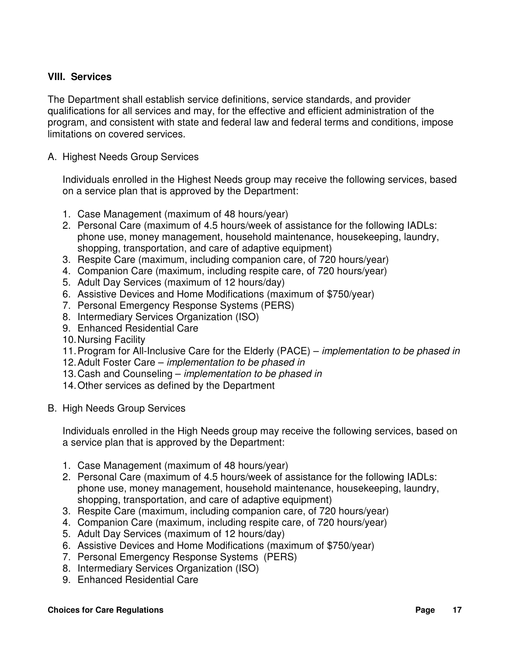#### **VIII. Services**

The Department shall establish service definitions, service standards, and provider qualifications for all services and may, for the effective and efficient administration of the program, and consistent with state and federal law and federal terms and conditions, impose limitations on covered services.

A. Highest Needs Group Services

Individuals enrolled in the Highest Needs group may receive the following services, based on a service plan that is approved by the Department:

- 1. Case Management (maximum of 48 hours/year)
- 2. Personal Care (maximum of 4.5 hours/week of assistance for the following IADLs: phone use, money management, household maintenance, housekeeping, laundry, shopping, transportation, and care of adaptive equipment)
- 3. Respite Care (maximum, including companion care, of 720 hours/year)
- 4. Companion Care (maximum, including respite care, of 720 hours/year)
- 5. Adult Day Services (maximum of 12 hours/day)
- 6. Assistive Devices and Home Modifications (maximum of \$750/year)
- 7. Personal Emergency Response Systems (PERS)
- 8. Intermediary Services Organization (ISO)
- 9. Enhanced Residential Care
- 10. Nursing Facility
- 11. Program for All-Inclusive Care for the Elderly (PACE) *implementation to be phased in*
- 12. Adult Foster Care implementation to be phased in
- 13. Cash and Counseling *implementation to be phased in*
- 14. Other services as defined by the Department
- B. High Needs Group Services

Individuals enrolled in the High Needs group may receive the following services, based on a service plan that is approved by the Department:

- 1. Case Management (maximum of 48 hours/year)
- 2. Personal Care (maximum of 4.5 hours/week of assistance for the following IADLs: phone use, money management, household maintenance, housekeeping, laundry, shopping, transportation, and care of adaptive equipment)
- 3. Respite Care (maximum, including companion care, of 720 hours/year)
- 4. Companion Care (maximum, including respite care, of 720 hours/year)
- 5. Adult Day Services (maximum of 12 hours/day)
- 6. Assistive Devices and Home Modifications (maximum of \$750/year)
- 7. Personal Emergency Response Systems (PERS)
- 8. Intermediary Services Organization (ISO)
- 9. Enhanced Residential Care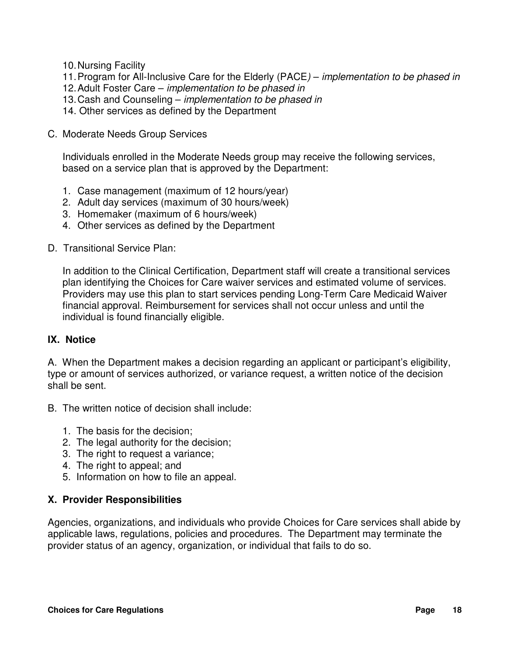- 10. Nursing Facility
- 11. Program for All-Inclusive Care for the Elderly (PACE) *implementation to be phased in*
- 12. Adult Foster Care *implementation to be phased in*
- 13. Cash and Counseling *implementation to be phased in*
- 14. Other services as defined by the Department
- C. Moderate Needs Group Services

Individuals enrolled in the Moderate Needs group may receive the following services, based on a service plan that is approved by the Department:

- 1. Case management (maximum of 12 hours/year)
- 2. Adult day services (maximum of 30 hours/week)
- 3. Homemaker (maximum of 6 hours/week)
- 4. Other services as defined by the Department
- D. Transitional Service Plan:

In addition to the Clinical Certification, Department staff will create a transitional services plan identifying the Choices for Care waiver services and estimated volume of services. Providers may use this plan to start services pending Long-Term Care Medicaid Waiver financial approval. Reimbursement for services shall not occur unless and until the individual is found financially eligible.

#### **IX. Notice**

A. When the Department makes a decision regarding an applicant or participant's eligibility, type or amount of services authorized, or variance request, a written notice of the decision shall be sent.

- B. The written notice of decision shall include:
	- 1. The basis for the decision;
	- 2. The legal authority for the decision;
	- 3. The right to request a variance;
	- 4. The right to appeal; and
	- 5. Information on how to file an appeal.

#### **X. Provider Responsibilities**

Agencies, organizations, and individuals who provide Choices for Care services shall abide by applicable laws, regulations, policies and procedures. The Department may terminate the provider status of an agency, organization, or individual that fails to do so.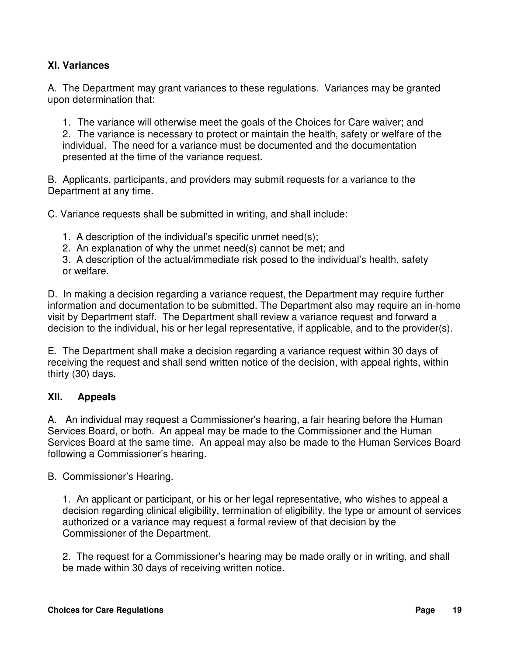#### **XI. Variances**

A. The Department may grant variances to these regulations. Variances may be granted upon determination that:

1. The variance will otherwise meet the goals of the Choices for Care waiver; and 2. The variance is necessary to protect or maintain the health, safety or welfare of the individual. The need for a variance must be documented and the documentation presented at the time of the variance request.

B. Applicants, participants, and providers may submit requests for a variance to the Department at any time.

C. Variance requests shall be submitted in writing, and shall include:

1. A description of the individual's specific unmet need(s);

2. An explanation of why the unmet need(s) cannot be met; and

3. A description of the actual/immediate risk posed to the individual's health, safety or welfare.

D. In making a decision regarding a variance request, the Department may require further information and documentation to be submitted. The Department also may require an in-home visit by Department staff. The Department shall review a variance request and forward a decision to the individual, his or her legal representative, if applicable, and to the provider(s).

E. The Department shall make a decision regarding a variance request within 30 days of receiving the request and shall send written notice of the decision, with appeal rights, within thirty (30) days.

#### **XII. Appeals**

A. An individual may request a Commissioner's hearing, a fair hearing before the Human Services Board, or both. An appeal may be made to the Commissioner and the Human Services Board at the same time. An appeal may also be made to the Human Services Board following a Commissioner's hearing.

B. Commissioner's Hearing.

1. An applicant or participant, or his or her legal representative, who wishes to appeal a decision regarding clinical eligibility, termination of eligibility, the type or amount of services authorized or a variance may request a formal review of that decision by the Commissioner of the Department.

2. The request for a Commissioner's hearing may be made orally or in writing, and shall be made within 30 days of receiving written notice.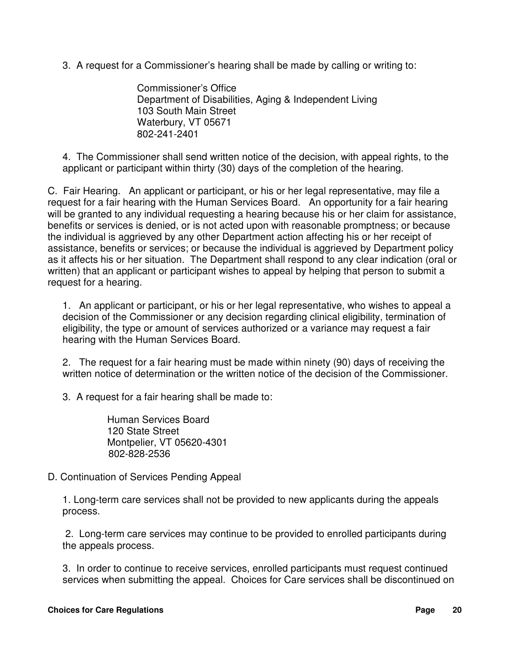3. A request for a Commissioner's hearing shall be made by calling or writing to:

 Commissioner's Office Department of Disabilities, Aging & Independent Living 103 South Main Street Waterbury, VT 05671 802-241-2401

4. The Commissioner shall send written notice of the decision, with appeal rights, to the applicant or participant within thirty (30) days of the completion of the hearing.

C. Fair Hearing. An applicant or participant, or his or her legal representative, may file a request for a fair hearing with the Human Services Board. An opportunity for a fair hearing will be granted to any individual requesting a hearing because his or her claim for assistance, benefits or services is denied, or is not acted upon with reasonable promptness; or because the individual is aggrieved by any other Department action affecting his or her receipt of assistance, benefits or services; or because the individual is aggrieved by Department policy as it affects his or her situation. The Department shall respond to any clear indication (oral or written) that an applicant or participant wishes to appeal by helping that person to submit a request for a hearing.

1. An applicant or participant, or his or her legal representative, who wishes to appeal a decision of the Commissioner or any decision regarding clinical eligibility, termination of eligibility, the type or amount of services authorized or a variance may request a fair hearing with the Human Services Board.

2. The request for a fair hearing must be made within ninety (90) days of receiving the written notice of determination or the written notice of the decision of the Commissioner.

3. A request for a fair hearing shall be made to:

 Human Services Board 120 State Street Montpelier, VT 05620-4301 802-828-2536

D. Continuation of Services Pending Appeal

1. Long-term care services shall not be provided to new applicants during the appeals process.

 2. Long-term care services may continue to be provided to enrolled participants during the appeals process.

3. In order to continue to receive services, enrolled participants must request continued services when submitting the appeal. Choices for Care services shall be discontinued on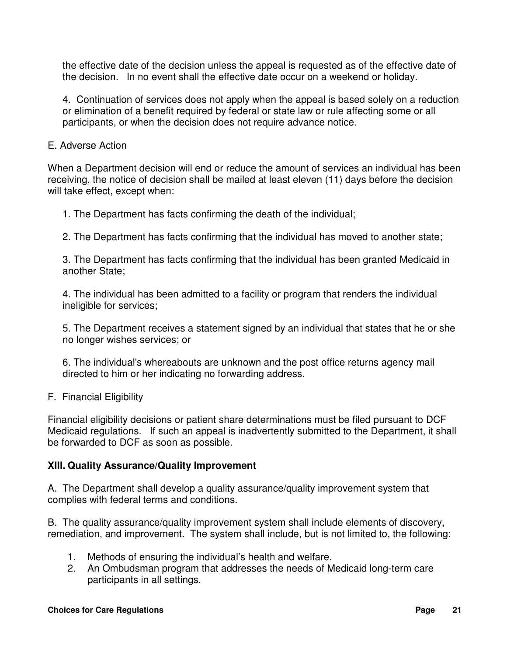the effective date of the decision unless the appeal is requested as of the effective date of the decision. In no event shall the effective date occur on a weekend or holiday.

4. Continuation of services does not apply when the appeal is based solely on a reduction or elimination of a benefit required by federal or state law or rule affecting some or all participants, or when the decision does not require advance notice.

#### E. Adverse Action

When a Department decision will end or reduce the amount of services an individual has been receiving, the notice of decision shall be mailed at least eleven (11) days before the decision will take effect, except when:

1. The Department has facts confirming the death of the individual;

2. The Department has facts confirming that the individual has moved to another state;

3. The Department has facts confirming that the individual has been granted Medicaid in another State;

4. The individual has been admitted to a facility or program that renders the individual ineligible for services;

5. The Department receives a statement signed by an individual that states that he or she no longer wishes services; or

6. The individual's whereabouts are unknown and the post office returns agency mail directed to him or her indicating no forwarding address.

F. Financial Eligibility

Financial eligibility decisions or patient share determinations must be filed pursuant to DCF Medicaid regulations. If such an appeal is inadvertently submitted to the Department, it shall be forwarded to DCF as soon as possible.

#### **XIII. Quality Assurance/Quality Improvement**

A. The Department shall develop a quality assurance/quality improvement system that complies with federal terms and conditions.

B. The quality assurance/quality improvement system shall include elements of discovery, remediation, and improvement. The system shall include, but is not limited to, the following:

- 1. Methods of ensuring the individual's health and welfare.
- 2. An Ombudsman program that addresses the needs of Medicaid long-term care participants in all settings.